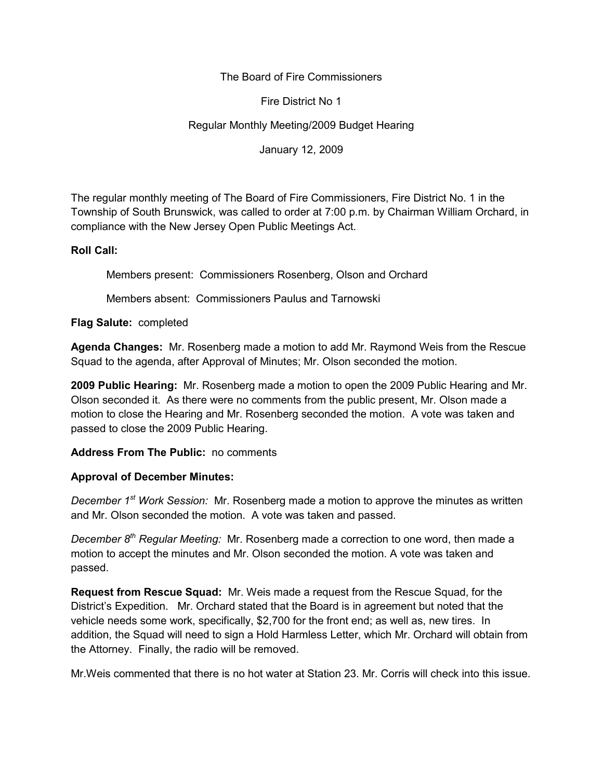The Board of Fire Commissioners

Fire District No 1

Regular Monthly Meeting/2009 Budget Hearing

January 12, 2009

The regular monthly meeting of The Board of Fire Commissioners, Fire District No. 1 in the Township of South Brunswick, was called to order at 7:00 p.m. by Chairman William Orchard, in compliance with the New Jersey Open Public Meetings Act.

## **Roll Call:**

Members present: Commissioners Rosenberg, Olson and Orchard

Members absent: Commissioners Paulus and Tarnowski

## **Flag Salute:** completed

**Agenda Changes:** Mr. Rosenberg made a motion to add Mr. Raymond Weis from the Rescue Squad to the agenda, after Approval of Minutes; Mr. Olson seconded the motion.

**2009 Public Hearing:** Mr. Rosenberg made a motion to open the 2009 Public Hearing and Mr. Olson seconded it. As there were no comments from the public present, Mr. Olson made a motion to close the Hearing and Mr. Rosenberg seconded the motion. A vote was taken and passed to close the 2009 Public Hearing.

## **Address From The Public:** no comments

# **Approval of December Minutes:**

*December 1st Work Session:* Mr. Rosenberg made a motion to approve the minutes as written and Mr. Olson seconded the motion. A vote was taken and passed.

*December 8 th Regular Meeting:* Mr. Rosenberg made a correction to one word, then made a motion to accept the minutes and Mr. Olson seconded the motion. A vote was taken and passed.

**Request from Rescue Squad:** Mr. Weis made a request from the Rescue Squad, for the District's Expedition. Mr. Orchard stated that the Board is in agreement but noted that the vehicle needs some work, specifically, \$2,700 for the front end; as well as, new tires. In addition, the Squad will need to sign a Hold Harmless Letter, which Mr. Orchard will obtain from the Attorney. Finally, the radio will be removed.

Mr.Weis commented that there is no hot water at Station 23. Mr. Corris will check into this issue.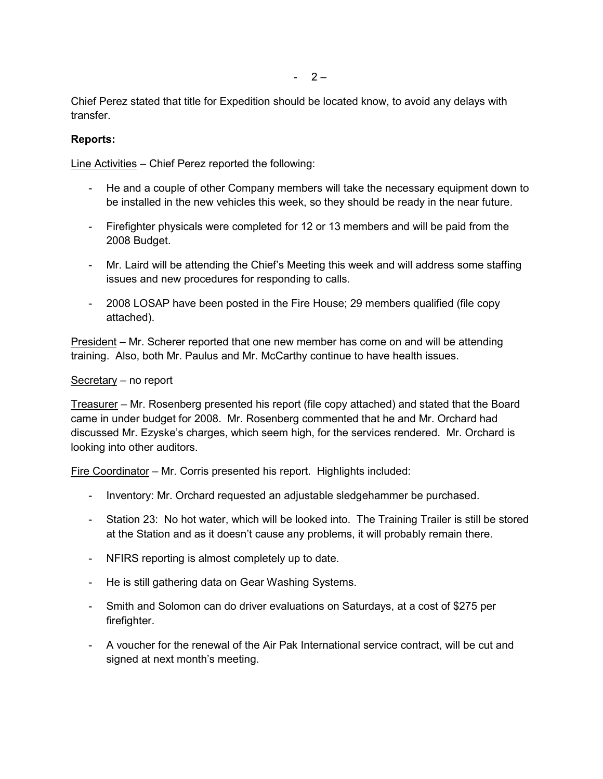Chief Perez stated that title for Expedition should be located know, to avoid any delays with transfer.

### **Reports:**

Line Activities – Chief Perez reported the following:

- He and a couple of other Company members will take the necessary equipment down to be installed in the new vehicles this week, so they should be ready in the near future.
- Firefighter physicals were completed for 12 or 13 members and will be paid from the 2008 Budget.
- Mr. Laird will be attending the Chief's Meeting this week and will address some staffing issues and new procedures for responding to calls.
- 2008 LOSAP have been posted in the Fire House; 29 members qualified (file copy attached).

President – Mr. Scherer reported that one new member has come on and will be attending training. Also, both Mr. Paulus and Mr. McCarthy continue to have health issues.

### Secretary – no report

Treasurer – Mr. Rosenberg presented his report (file copy attached) and stated that the Board came in under budget for 2008. Mr. Rosenberg commented that he and Mr. Orchard had discussed Mr. Ezyske's charges, which seem high, for the services rendered. Mr. Orchard is looking into other auditors.

Fire Coordinator – Mr. Corris presented his report. Highlights included:

- Inventory: Mr. Orchard requested an adjustable sledgehammer be purchased.
- Station 23: No hot water, which will be looked into. The Training Trailer is still be stored at the Station and as it doesn't cause any problems, it will probably remain there.
- NFIRS reporting is almost completely up to date.
- He is still gathering data on Gear Washing Systems.
- Smith and Solomon can do driver evaluations on Saturdays, at a cost of \$275 per firefighter.
- A voucher for the renewal of the Air Pak International service contract, will be cut and signed at next month's meeting.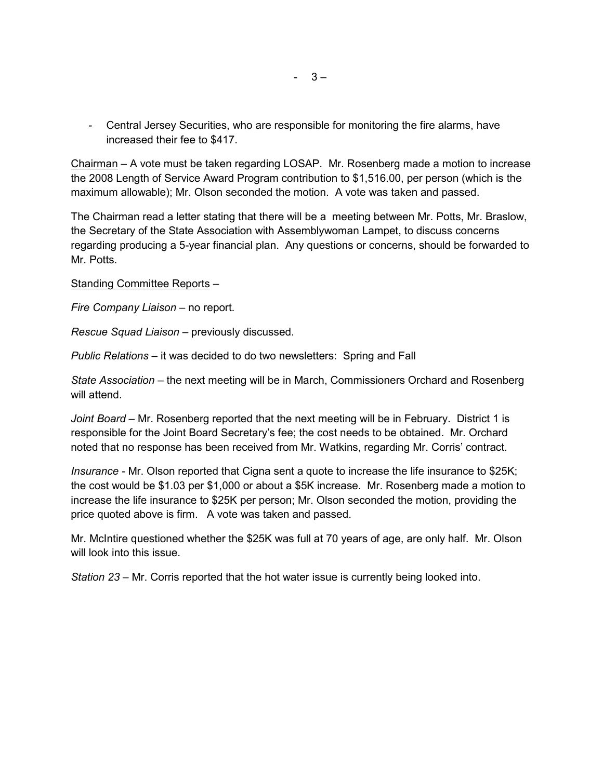- Central Jersey Securities, who are responsible for monitoring the fire alarms, have increased their fee to \$417.

Chairman – A vote must be taken regarding LOSAP. Mr. Rosenberg made a motion to increase the 2008 Length of Service Award Program contribution to \$1,516.00, per person (which is the maximum allowable); Mr. Olson seconded the motion. A vote was taken and passed.

The Chairman read a letter stating that there will be a meeting between Mr. Potts, Mr. Braslow, the Secretary of the State Association with Assemblywoman Lampet, to discuss concerns regarding producing a 5-year financial plan. Any questions or concerns, should be forwarded to Mr. Potts.

Standing Committee Reports –

*Fire Company Liaison –* no report.

*Rescue Squad Liaison –* previously discussed.

*Public Relations –* it was decided to do two newsletters: Spring and Fall

*State Association –* the next meeting will be in March, Commissioners Orchard and Rosenberg will attend.

*Joint Board* – Mr. Rosenberg reported that the next meeting will be in February. District 1 is responsible for the Joint Board Secretary's fee; the cost needs to be obtained. Mr. Orchard noted that no response has been received from Mr. Watkins, regarding Mr. Corris' contract.

*Insurance -* Mr. Olson reported that Cigna sent a quote to increase the life insurance to \$25K; the cost would be \$1.03 per \$1,000 or about a \$5K increase. Mr. Rosenberg made a motion to increase the life insurance to \$25K per person; Mr. Olson seconded the motion, providing the price quoted above is firm. A vote was taken and passed.

Mr. McIntire questioned whether the \$25K was full at 70 years of age, are only half. Mr. Olson will look into this issue.

*Station 23 –* Mr. Corris reported that the hot water issue is currently being looked into.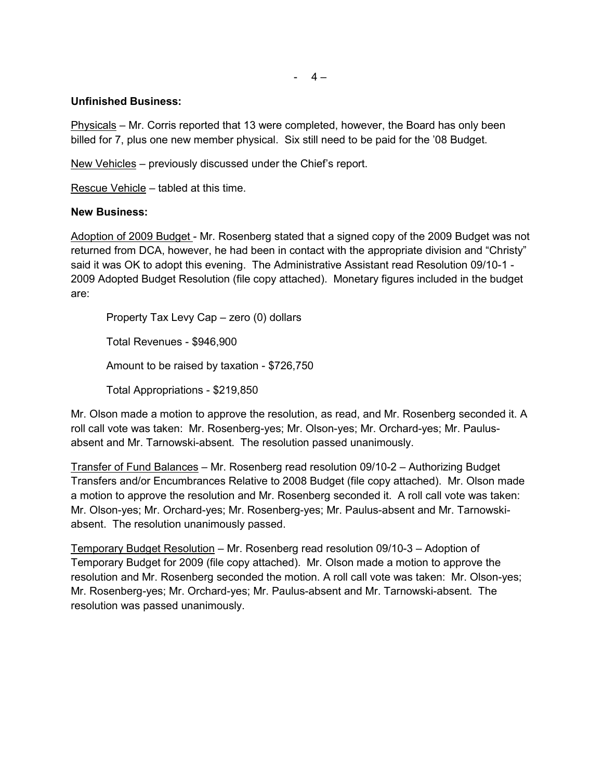#### $- 4 -$

### **Unfinished Business:**

Physicals – Mr. Corris reported that 13 were completed, however, the Board has only been billed for 7, plus one new member physical. Six still need to be paid for the '08 Budget.

New Vehicles – previously discussed under the Chief's report.

Rescue Vehicle – tabled at this time.

## **New Business:**

Adoption of 2009 Budget - Mr. Rosenberg stated that a signed copy of the 2009 Budget was not returned from DCA, however, he had been in contact with the appropriate division and "Christy" said it was OK to adopt this evening. The Administrative Assistant read Resolution 09/10-1 - 2009 Adopted Budget Resolution (file copy attached). Monetary figures included in the budget are:

Property Tax Levy Cap – zero (0) dollars Total Revenues - \$946,900 Amount to be raised by taxation - \$726,750 Total Appropriations - \$219,850

Mr. Olson made a motion to approve the resolution, as read, and Mr. Rosenberg seconded it. A roll call vote was taken: Mr. Rosenberg-yes; Mr. Olson-yes; Mr. Orchard-yes; Mr. Paulus absent and Mr. Tarnowski-absent. The resolution passed unanimously.

Transfer of Fund Balances – Mr. Rosenberg read resolution 09/10-2 – Authorizing Budget Transfers and/or Encumbrances Relative to 2008 Budget (file copy attached). Mr. Olson made a motion to approve the resolution and Mr. Rosenberg seconded it. A roll call vote was taken: Mr. Olson-yes; Mr. Orchard-yes; Mr. Rosenberg-yes; Mr. Paulus-absent and Mr. Tarnowski absent. The resolution unanimously passed.

Temporary Budget Resolution – Mr. Rosenberg read resolution 09/10-3 – Adoption of Temporary Budget for 2009 (file copy attached). Mr. Olson made a motion to approve the resolution and Mr. Rosenberg seconded the motion. A roll call vote was taken: Mr. Olson-yes; Mr. Rosenberg-yes; Mr. Orchard-yes; Mr. Paulus-absent and Mr. Tarnowski-absent. The resolution was passed unanimously.